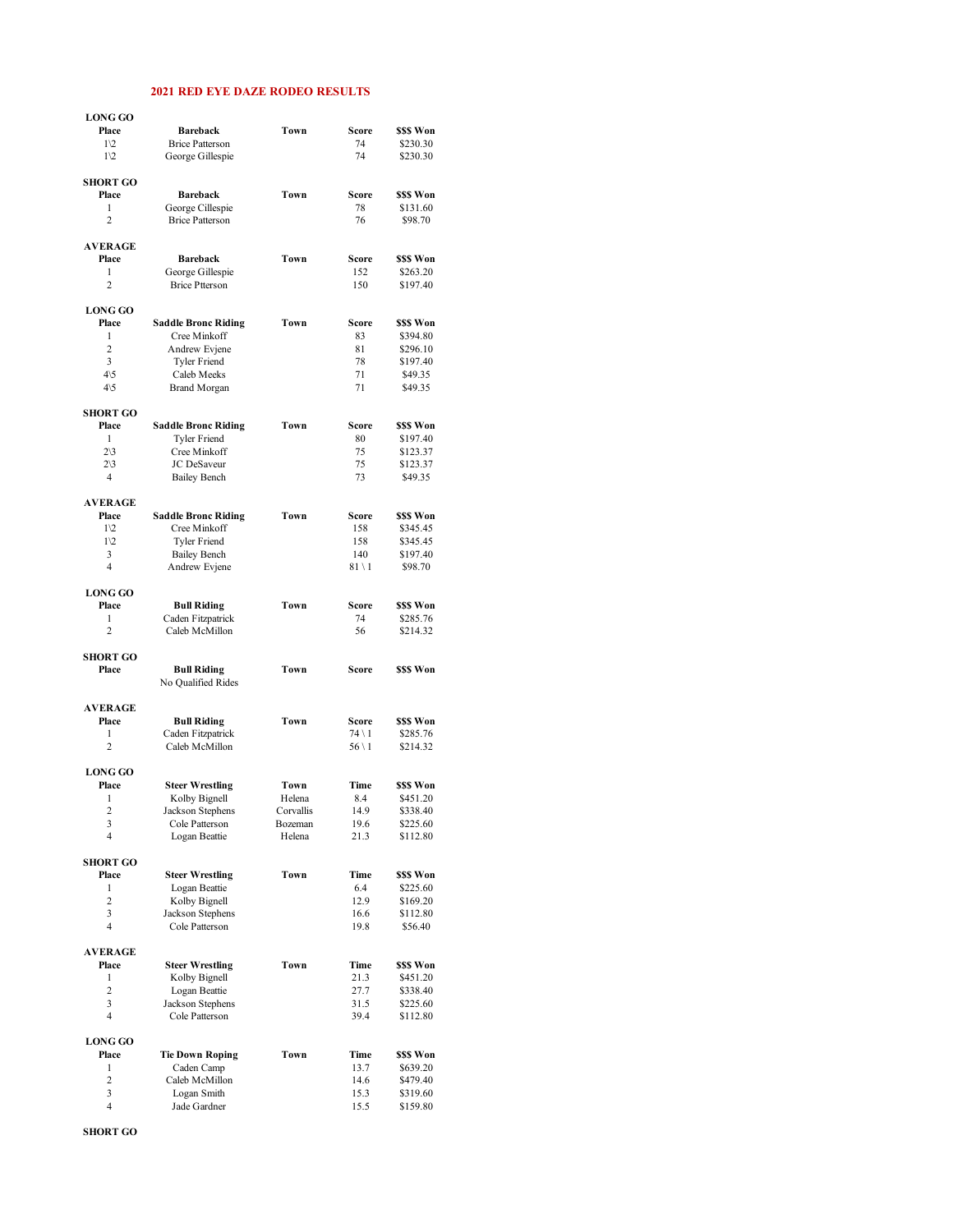## **2021 RED EYE DAZE RODEO RESULTS**

| <b>LONG GO</b>           |                                            |                      |                  |                        |
|--------------------------|--------------------------------------------|----------------------|------------------|------------------------|
| Place                    | <b>Bareback</b>                            | Town                 | Score            | \$\$\$ Won             |
| $1\sqrt{2}$              | <b>Brice Patterson</b>                     |                      | 74               | \$230.30               |
| $1\sqrt{2}$              | George Gillespie                           |                      | 74               | \$230.30               |
| <b>SHORT GO</b><br>Place | <b>Bareback</b>                            | Town                 | Score            | \$\$\$ Won             |
| 1                        | George Cillespie                           |                      | 78               | \$131.60               |
| $\overline{2}$           | <b>Brice Patterson</b>                     |                      | 76               | \$98.70                |
| <b>AVERAGE</b>           |                                            |                      |                  |                        |
| Place                    | <b>Bareback</b>                            | Town                 | Score            | \$\$\$ Won             |
| 1                        | George Gillespie                           |                      | 152              | \$263.20               |
| $\overline{c}$           | <b>Brice Ptterson</b>                      |                      | 150              | \$197.40               |
| <b>LONG GO</b>           |                                            |                      |                  |                        |
| Place                    | <b>Saddle Bronc Riding</b>                 | Town                 | Score            | \$\$\$ Won             |
| 1<br>$\overline{2}$      | Cree Minkoff                               |                      | 83               | \$394.80               |
| 3                        | Andrew Evjene<br>Tyler Friend              |                      | 81<br>78         | \$296.10<br>\$197.40   |
| $4\backslash 5$          | Caleb Meeks                                |                      | 71               | \$49.35                |
| $4\sqrt{5}$              | <b>Brand Morgan</b>                        |                      | 71               | \$49.35                |
| <b>SHORT GO</b>          |                                            |                      |                  |                        |
| Place                    | <b>Saddle Bronc Riding</b>                 | Town                 | Score            | \$\$\$ Won             |
| 1                        | <b>Tyler Friend</b>                        |                      | 80               | \$197.40               |
| $2\backslash 3$          | Cree Minkoff                               |                      | 75               | \$123.37               |
| $2\backslash 3$          | JC DeSaveur                                |                      | 75               | \$123.37               |
| $\overline{4}$           | <b>Bailey Bench</b>                        |                      | 73               | \$49.35                |
| <b>AVERAGE</b>           |                                            |                      |                  |                        |
| Place                    | <b>Saddle Bronc Riding</b>                 | Town                 | Score            | \$\$\$ Won             |
| $1\sqrt{2}$              | Cree Minkoff                               |                      | 158              | \$345.45               |
| $1\sqrt{2}$<br>3         | <b>Tyler Friend</b><br><b>Bailey Bench</b> |                      | 158<br>140       | \$345.45<br>\$197.40   |
| $\overline{4}$           | Andrew Evjene                              |                      | $81 \setminus 1$ | \$98.70                |
|                          |                                            |                      |                  |                        |
| <b>LONG GO</b>           |                                            |                      |                  |                        |
| Place<br>1               | <b>Bull Riding</b>                         | Town                 | Score<br>74      | \$\$\$ Won<br>\$285.76 |
| $\overline{2}$           | Caden Fitzpatrick<br>Caleb McMillon        |                      | 56               | \$214.32               |
|                          |                                            |                      |                  |                        |
|                          |                                            |                      |                  |                        |
| <b>SHORT GO</b><br>Place | <b>Bull Riding</b>                         | Town                 | Score            | \$\$\$ Won             |
|                          | No Qualified Rides                         |                      |                  |                        |
| <b>AVERAGE</b>           |                                            |                      |                  |                        |
| Place                    | <b>Bull Riding</b>                         | Town                 | Score            | \$\$\$ Won             |
| $\mathbf{1}$             | Caden Fitzpatrick                          |                      | $74 \setminus 1$ | \$285.76               |
| $\overline{2}$           | Caleb McMillon                             |                      | $56 \setminus 1$ | \$214.32               |
| <b>LONG GO</b>           |                                            |                      |                  |                        |
| Place                    | <b>Steer Wrestling</b>                     | Town                 | Time             | \$\$\$ Won             |
| 1                        | Kolby Bignell                              | Helena               | 8.4              | \$451.20               |
| $\overline{c}$<br>3      | Jackson Stephens<br>Cole Patterson         | Corvallis<br>Bozeman | 14.9<br>19.6     | \$338.40<br>\$225.60   |
| 4                        | Logan Beattie                              | Helena               | 21.3             | \$112.80               |
| <b>SHORT GO</b>          |                                            |                      |                  |                        |
| Place                    | <b>Steer Wrestling</b>                     | Town                 | Time             | \$\$\$ Won             |
| 1                        | Logan Beattie                              |                      | 6.4              | \$225.60               |
| $\overline{2}$           | Kolby Bignell                              |                      | 12.9             | \$169.20               |
| 3                        | Jackson Stephens                           |                      | 16.6             | \$112.80               |
| $\overline{4}$           | Cole Patterson                             |                      | 19.8             | \$56.40                |
| <b>AVERAGE</b>           |                                            |                      |                  |                        |
| Place                    | <b>Steer Wrestling</b>                     | Town                 | Time             | \$\$\$ Won             |
| $\mathbf{1}$             | Kolby Bignell                              |                      | 21.3             | \$451.20               |
| $\overline{2}$<br>3      | Logan Beattie                              |                      | 27.7             | \$338.40               |
| $\overline{4}$           | Jackson Stephens<br>Cole Patterson         |                      | 31.5<br>39.4     | \$225.60<br>\$112.80   |
| <b>LONG GO</b>           |                                            |                      |                  |                        |
| Place                    | <b>Tie Down Roping</b>                     | Town                 | Time             | \$\$\$ Won             |
| 1                        | Caden Camp                                 |                      | 13.7             | \$639.20               |
| 2                        | Caleb McMillon                             |                      | 14.6             | \$479.40               |
| 3<br>4                   | Logan Smith<br>Jade Gardner                |                      | 15.3<br>15.5     | \$319.60<br>\$159.80   |

**SHORT GO**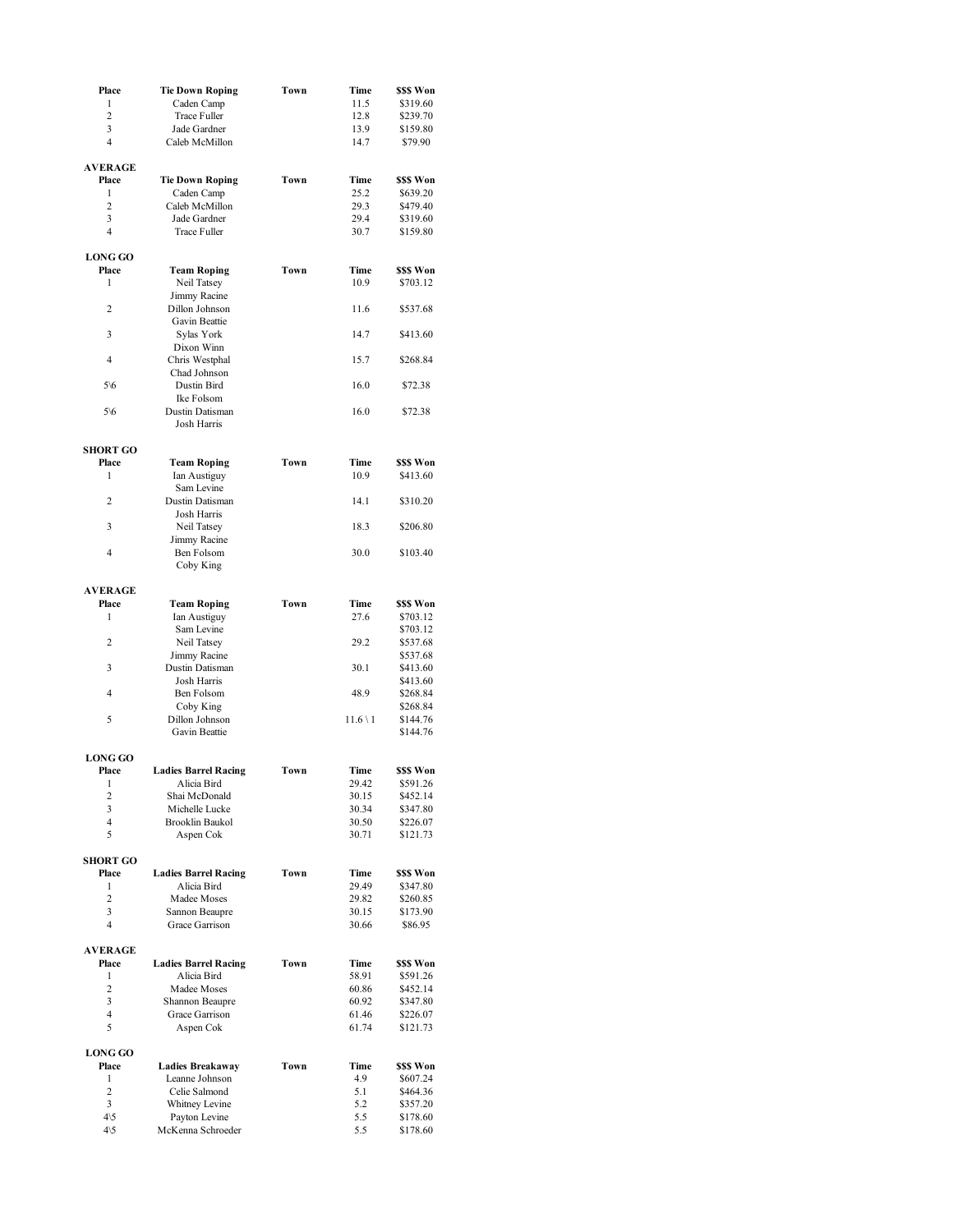| Place                   | <b>Tie Down Roping</b>          | Town | Time          | \$\$\$ Won |
|-------------------------|---------------------------------|------|---------------|------------|
| $\mathbf{1}$            | Caden Camp                      |      | 11.5          | \$319.60   |
| $\overline{c}$          | Trace Fuller                    |      | 12.8          | \$239.70   |
| 3                       | Jade Gardner                    |      | 13.9          | \$159.80   |
| 4                       | Caleb McMillon                  |      | 14.7          | \$79.90    |
| <b>AVERAGE</b>          |                                 |      |               |            |
| Place                   | <b>Tie Down Roping</b>          | Town | Time          | \$\$\$ Won |
| 1                       | Caden Camp                      |      | 25.2          | \$639.20   |
| $\overline{c}$          | Caleb McMillon                  |      | 29.3          | \$479.40   |
| 3                       | Jade Gardner                    |      | 29.4          | \$319.60   |
| 4                       | Trace Fuller                    |      | 30.7          | \$159.80   |
| <b>LONG GO</b>          |                                 |      |               |            |
| Place                   | <b>Team Roping</b>              | Town | Time          | \$\$\$ Won |
| 1                       | Neil Tatsey                     |      | 10.9          | \$703.12   |
|                         | Jimmy Racine                    |      |               |            |
| 2                       | Dillon Johnson<br>Gavin Beattie |      | 11.6          | \$537.68   |
| 3                       | Sylas York                      |      | 14.7          | \$413.60   |
|                         | Dixon Winn                      |      |               |            |
| $\overline{4}$          | Chris Westphal<br>Chad Johnson  |      | 15.7          | \$268.84   |
| $5\%$                   | Dustin Bird                     |      | 16.0          | \$72.38    |
|                         | Ike Folsom                      |      |               |            |
| $5\%$                   | Dustin Datisman<br>Josh Harris  |      | 16.0          | \$72.38    |
|                         |                                 |      |               |            |
| <b>SHORT GO</b>         |                                 |      |               |            |
| Place                   | <b>Team Roping</b>              | Town | Time          | \$\$\$ Won |
| 1                       | Ian Austiguy<br>Sam Levine      |      | 10.9          | \$413.60   |
| $\overline{2}$          | Dustin Datisman                 |      | 14.1          | \$310.20   |
|                         | Josh Harris                     |      |               |            |
| 3                       | Neil Tatsey<br>Jimmy Racine     |      | 18.3          | \$206.80   |
| 4                       | Ben Folsom                      |      | 30.0          | \$103.40   |
|                         | Coby King                       |      |               |            |
| <b>AVERAGE</b>          |                                 |      |               |            |
| Place                   | <b>Team Roping</b>              | Town | Time          | \$\$\$ Won |
| 1                       | Ian Austiguy                    |      | 27.6          | \$703.12   |
|                         | Sam Levine                      |      |               | \$703.12   |
| 2                       | Neil Tatsey                     |      | 29.2          | \$537.68   |
|                         | Jimmy Racine                    |      |               | \$537.68   |
| 3                       | Dustin Datisman                 |      | 30.1          | \$413.60   |
|                         | Josh Harris                     |      |               | \$413.60   |
| 4                       | Ben Folsom                      |      | 48.9          | \$268.84   |
|                         | Coby King                       |      |               | \$268.84   |
| 5                       | Dillon Johnson                  |      | $11.6 \vee 1$ | \$144.76   |
|                         | Gavin Beattie                   |      |               | \$144.76   |
| <b>LONG GO</b>          |                                 |      |               |            |
| Place                   | <b>Ladies Barrel Racing</b>     | Town | Time          | \$\$\$ Won |
| 1                       | Alicia Bird                     |      | 29.42         | \$591.26   |
| 2                       | Shai McDonald                   |      | 30.15         | \$452.14   |
| 3                       | Michelle Lucke                  |      | 30.34         | \$347.80   |
| 4                       | Brooklin Baukol                 |      | 30.50         | \$226.07   |
| 5                       | Aspen Cok                       |      | 30.71         | \$121.73   |
| <b>SHORT GO</b>         |                                 |      |               |            |
| Place                   | <b>Ladies Barrel Racing</b>     | Town | Time          | \$\$\$ Won |
| 1                       | Alicia Bird                     |      | 29.49         | \$347.80   |
| 2                       | Madee Moses                     |      | 29.82         | \$260.85   |
| 3                       | Sannon Beaupre                  |      | 30.15         | \$173.90   |
| $\overline{4}$          | Grace Garrison                  |      | 30.66         | \$86.95    |
|                         |                                 |      |               |            |
| <b>AVERAGE</b><br>Place | <b>Ladies Barrel Racing</b>     | Town | Time          | \$\$\$ Won |
| $\mathbf{1}$            | Alicia Bird                     |      | 58.91         | \$591.26   |
| $\overline{2}$          | Madee Moses                     |      | 60.86         | \$452.14   |
| 3                       | Shannon Beaupre                 |      | 60.92         | \$347.80   |
| 4                       | Grace Garrison                  |      | 61.46         | \$226.07   |
| 5                       | Aspen Cok                       |      | 61.74         | \$121.73   |
| <b>LONG GO</b>          |                                 |      |               |            |
| Place                   | <b>Ladies Breakaway</b>         | Town | Time          | \$\$\$ Won |
| 1                       | Leanne Johnson                  |      | 4.9           | \$607.24   |
| $\overline{2}$          | Celie Salmond                   |      | 5.1           | \$464.36   |
| 3                       | Whitney Levine                  |      | 5.2           | \$357.20   |
| $4\sqrt{5}$             | Payton Levine                   |      | 5.5           | \$178.60   |
| $4\backslash 5$         | McKenna Schroeder               |      | 5.5           | \$178.60   |